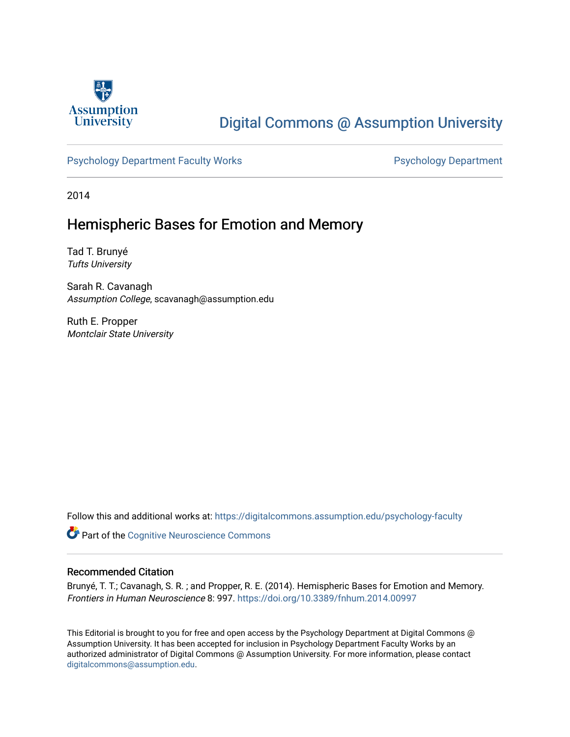

# [Digital Commons @ Assumption University](https://digitalcommons.assumption.edu/)

## [Psychology Department Faculty Works](https://digitalcommons.assumption.edu/psychology-faculty) **Psychology Department**

2014

# Hemispheric Bases for Emotion and Memory

Tad T. Brunyé Tufts University

Sarah R. Cavanagh Assumption College, scavanagh@assumption.edu

Ruth E. Propper Montclair State University

Follow this and additional works at: [https://digitalcommons.assumption.edu/psychology-faculty](https://digitalcommons.assumption.edu/psychology-faculty?utm_source=digitalcommons.assumption.edu%2Fpsychology-faculty%2F7&utm_medium=PDF&utm_campaign=PDFCoverPages) 

**Part of the Cognitive Neuroscience Commons** 

### Recommended Citation

Brunyé, T. T.; Cavanagh, S. R. ; and Propper, R. E. (2014). Hemispheric Bases for Emotion and Memory. Frontiers in Human Neuroscience 8: 997.<https://doi.org/10.3389/fnhum.2014.00997>

This Editorial is brought to you for free and open access by the Psychology Department at Digital Commons @ Assumption University. It has been accepted for inclusion in Psychology Department Faculty Works by an authorized administrator of Digital Commons @ Assumption University. For more information, please contact [digitalcommons@assumption.edu](mailto:digitalcommons@assumption.edu).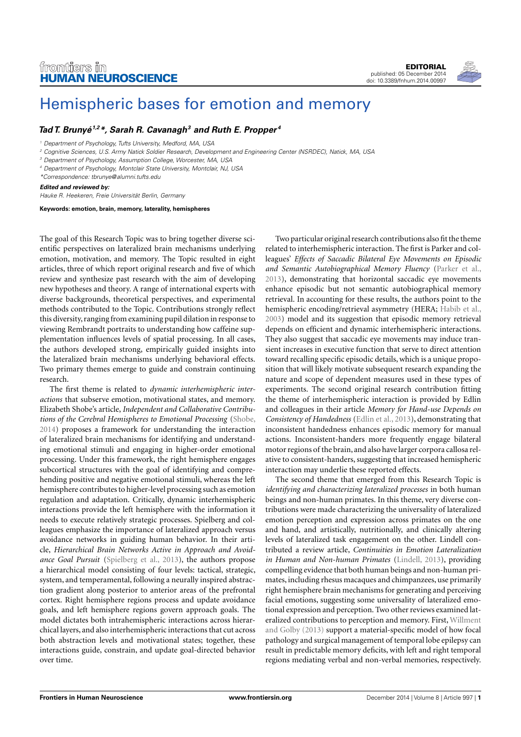# frontiers in [HUMAN NEUROSCIENCE](http://www.frontiersin.org/Human_Neuroscience)

[EDITORIAL](http://www.frontiersin.org/Human_Neuroscience/editorialboard) [published: 05 December 2014](http://www.frontiersin.org/Human_Neuroscience/editorialboard) [doi: 10.3389/fnhum.2014.00997](http://www.frontiersin.org/Human_Neuroscience/editorialboard)



# [Hemispheric bases for emotion and memory](http://www.frontiersin.org/Journal/10.3389/fnhum.2014.00997/abstract)

## **[Tad T. Brunyé](http://www.frontiersin.org/people/u/21946)1,2\*, [Sarah R. Cavanagh](http://www.frontiersin.org/people/u/68021)<sup>3</sup> and [Ruth E. Propper](http://www.frontiersin.org/people/u/67184) <sup>4</sup>**

<sup>2</sup> Cognitive Sciences, U.S. Army Natick Soldier Research, Development and Engineering Center (NSRDEC), Natick, MA, USA

<sup>3</sup> Department of Psychology, Assumption College, Worcester, MA, USA

<sup>4</sup> Department of Psychology, Montclair State University, Montclair, NJ, USA

\*Correspondence: [tbrunye@alumni.tufts.edu](mailto:tbrunye@alumni.tufts.edu)

#### **Edited and reviewed by:**

Hauke R. Heekeren, Freie Universität Berlin, Germany

**Keywords: emotion, brain, memory, laterality, hemispheres**

The goal of this Research Topic was to bring together diverse scientific perspectives on lateralized brain mechanisms underlying emotion, motivation, and memory. The Topic resulted in eight articles, three of which report original research and five of which review and synthesize past research with the aim of developing new hypotheses and theory. A range of international experts with diverse backgrounds, theoretical perspectives, and experimental methods contributed to the Topic. Contributions strongly reflect this diversity, ranging from examining pupil dilation in response to viewing Rembrandt portraits to understanding how caffeine supplementation influences levels of spatial processing. In all cases, the authors developed strong, empirically guided insights into the lateralized brain mechanisms underlying behavioral effects. Two primary themes emerge to guide and constrain continuing research.

The first theme is related to *dynamic interhemispheric interactions* that subserve emotion, motivational states, and memory. Elizabeth Shobe's article, *Independent and Collaborative Contributions of the Cerebral Hemispheres to Emotional Processing* [\(Shobe,](#page-2-0) [2014\)](#page-2-0) proposes a framework for understanding the interaction of lateralized brain mechanisms for identifying and understanding emotional stimuli and engaging in higher-order emotional processing. Under this framework, the right hemisphere engages subcortical structures with the goal of identifying and comprehending positive and negative emotional stimuli, whereas the left hemisphere contributes to higher-level processing such as emotion regulation and adaptation. Critically, dynamic interhemispheric interactions provide the left hemisphere with the information it needs to execute relatively strategic processes. Spielberg and colleagues emphasize the importance of lateralized approach versus avoidance networks in guiding human behavior. In their article, *Hierarchical Brain Networks Active in Approach and Avoidance Goal Pursuit* [\(Spielberg et al., 2013\)](#page-2-1), the authors propose a hierarchical model consisting of four levels: tactical, strategic, system, and temperamental, following a neurally inspired abstraction gradient along posterior to anterior areas of the prefrontal cortex. Right hemisphere regions process and update avoidance goals, and left hemisphere regions govern approach goals. The model dictates both intrahemispheric interactions across hierarchical layers, and also interhemispheric interactions that cut across both abstraction levels and motivational states; together, these interactions guide, constrain, and update goal-directed behavior over time.

Two particular original research contributions also fit the theme related to interhemispheric interaction. The first is Parker and colleagues' *Effects of Saccadic Bilateral Eye Movements on Episodic and Semantic Autobiographical Memory Fluency* [\(Parker et al.,](#page-2-2) [2013\)](#page-2-2), demonstrating that horizontal saccadic eye movements enhance episodic but not semantic autobiographical memory retrieval. In accounting for these results, the authors point to the hemispheric encoding/retrieval asymmetry (HERA; [Habib et al.,](#page-2-3) [2003\)](#page-2-3) model and its suggestion that episodic memory retrieval depends on efficient and dynamic interhemispheric interactions. They also suggest that saccadic eye movements may induce transient increases in executive function that serve to direct attention toward recalling specific episodic details, which is a unique proposition that will likely motivate subsequent research expanding the nature and scope of dependent measures used in these types of experiments. The second original research contribution fitting the theme of interhemispheric interaction is provided by Edlin and colleagues in their article *Memory for Hand-use Depends on Consistency of Handedness* [\(Edlin et al., 2013\)](#page-2-4), demonstrating that inconsistent handedness enhances episodic memory for manual actions. Inconsistent-handers more frequently engage bilateral motor regions of the brain, and also have larger corpora callosa relative to consistent-handers, suggesting that increased hemispheric interaction may underlie these reported effects.

The second theme that emerged from this Research Topic is *identifying and characterizing lateralized processes* in both human beings and non-human primates. In this theme, very diverse contributions were made characterizing the universality of lateralized emotion perception and expression across primates on the one and hand, and artistically, nutritionally, and clinically altering levels of lateralized task engagement on the other. Lindell contributed a review article, *Continuities in Emotion Lateralization in Human and Non-human Primates* [\(Lindell, 2013\)](#page-2-5), providing compelling evidence that both human beings and non-human primates, including rhesus macaques and chimpanzees, use primarily right hemisphere brain mechanisms for generating and perceiving facial emotions, suggesting some universality of lateralized emotional expression and perception. Two other reviews examined lateralized contributions to perception and memory. First, [Willment](#page-2-6) [and Golby](#page-2-6) [\(2013\)](#page-2-6) support a material-specific model of how focal pathology and surgical management of temporal lobe epilepsy can result in predictable memory deficits, with left and right temporal regions mediating verbal and non-verbal memories, respectively.

<sup>&</sup>lt;sup>1</sup> Department of Psychology, Tufts University, Medford, MA, USA